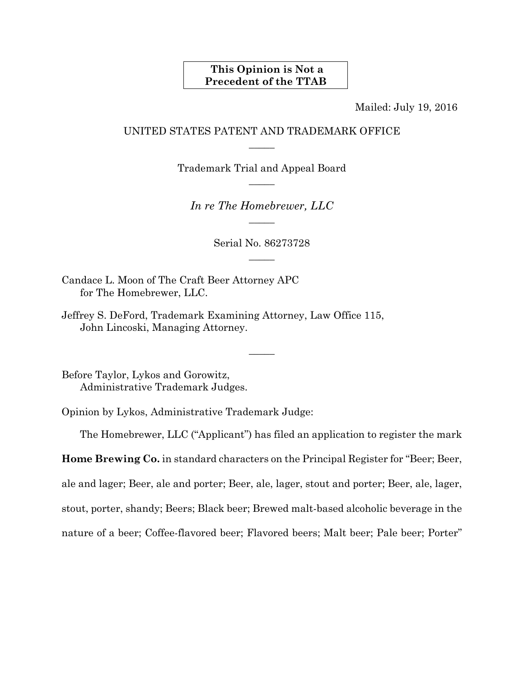## **This Opinion is Not a Precedent of the TTAB**

Mailed: July 19, 2016

## UNITED STATES PATENT AND TRADEMARK OFFICE  $\overline{\phantom{a}}$

Trademark Trial and Appeal Board  $\overline{\phantom{a}}$ 

*In re The Homebrewer, LLC*   $\overline{\phantom{a}}$ 

> Serial No. 86273728  $\overline{\phantom{a}}$

> > $\overline{\phantom{a}}$

Candace L. Moon of The Craft Beer Attorney APC for The Homebrewer, LLC.

Jeffrey S. DeFord, Trademark Examining Attorney, Law Office 115, John Lincoski, Managing Attorney.

Before Taylor, Lykos and Gorowitz, Administrative Trademark Judges.

Opinion by Lykos, Administrative Trademark Judge:

The Homebrewer, LLC ("Applicant") has filed an application to register the mark

**Home Brewing Co.** in standard characters on the Principal Register for "Beer; Beer,

ale and lager; Beer, ale and porter; Beer, ale, lager, stout and porter; Beer, ale, lager,

stout, porter, shandy; Beers; Black beer; Brewed malt-based alcoholic beverage in the

nature of a beer; Coffee-flavored beer; Flavored beers; Malt beer; Pale beer; Porter"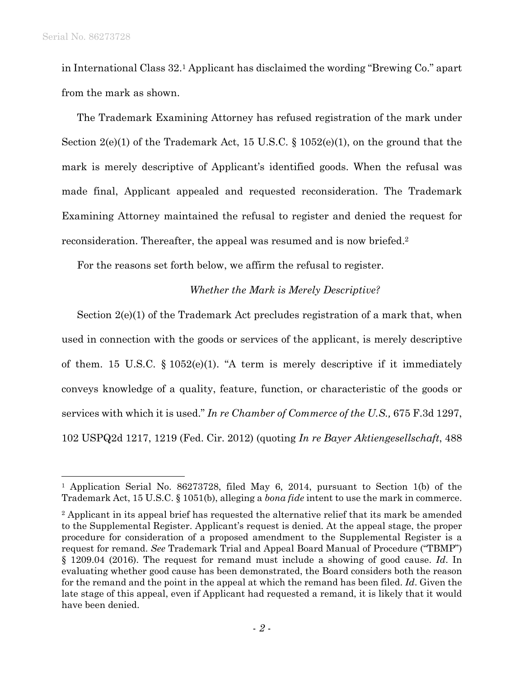$\overline{a}$ 

in International Class 32.1 Applicant has disclaimed the wording "Brewing Co." apart from the mark as shown.

The Trademark Examining Attorney has refused registration of the mark under Section 2(e)(1) of the Trademark Act, 15 U.S.C. § 1052(e)(1), on the ground that the mark is merely descriptive of Applicant's identified goods. When the refusal was made final, Applicant appealed and requested reconsideration. The Trademark Examining Attorney maintained the refusal to register and denied the request for reconsideration. Thereafter, the appeal was resumed and is now briefed.2

For the reasons set forth below, we affirm the refusal to register.

## *Whether the Mark is Merely Descriptive?*

Section 2(e)(1) of the Trademark Act precludes registration of a mark that, when used in connection with the goods or services of the applicant, is merely descriptive of them. 15 U.S.C.  $\S 1052(e)(1)$ . "A term is merely descriptive if it immediately conveys knowledge of a quality, feature, function, or characteristic of the goods or services with which it is used." *In re Chamber of Commerce of the U.S.,* 675 F.3d 1297, 102 USPQ2d 1217, 1219 (Fed. Cir. 2012) (quoting *In re Bayer Aktiengesellschaft*, 488

<sup>1</sup> Application Serial No. 86273728, filed May 6, 2014, pursuant to Section 1(b) of the Trademark Act, 15 U.S.C. § 1051(b), alleging a *bona fide* intent to use the mark in commerce.

<sup>2</sup> Applicant in its appeal brief has requested the alternative relief that its mark be amended to the Supplemental Register. Applicant's request is denied. At the appeal stage, the proper procedure for consideration of a proposed amendment to the Supplemental Register is a request for remand. *See* Trademark Trial and Appeal Board Manual of Procedure ("TBMP") § 1209.04 (2016). The request for remand must include a showing of good cause. *Id*. In evaluating whether good cause has been demonstrated, the Board considers both the reason for the remand and the point in the appeal at which the remand has been filed. *Id*. Given the late stage of this appeal, even if Applicant had requested a remand, it is likely that it would have been denied.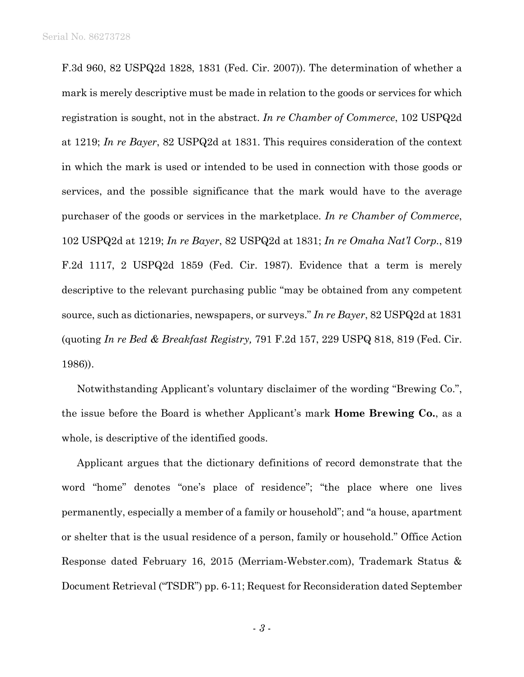F.3d 960, 82 USPQ2d 1828, 1831 (Fed. Cir. 2007)). The determination of whether a mark is merely descriptive must be made in relation to the goods or services for which registration is sought, not in the abstract. *In re Chamber of Commerce*, 102 USPQ2d at 1219; *In re Bayer*, 82 USPQ2d at 1831. This requires consideration of the context in which the mark is used or intended to be used in connection with those goods or services, and the possible significance that the mark would have to the average purchaser of the goods or services in the marketplace. *In re Chamber of Commerce*, 102 USPQ2d at 1219; *In re Bayer*, 82 USPQ2d at 1831; *In re Omaha Nat'l Corp.*, 819 F.2d 1117, 2 USPQ2d 1859 (Fed. Cir. 1987). Evidence that a term is merely descriptive to the relevant purchasing public "may be obtained from any competent source, such as dictionaries, newspapers, or surveys." *In re Bayer*, 82 USPQ2d at 1831 (quoting *In re Bed & Breakfast Registry,* 791 F.2d 157, 229 USPQ 818, 819 (Fed. Cir. 1986)).

Notwithstanding Applicant's voluntary disclaimer of the wording "Brewing Co.", the issue before the Board is whether Applicant's mark **Home Brewing Co.**, as a whole, is descriptive of the identified goods.

Applicant argues that the dictionary definitions of record demonstrate that the word "home" denotes "one's place of residence"; "the place where one lives permanently, especially a member of a family or household"; and "a house, apartment or shelter that is the usual residence of a person, family or household." Office Action Response dated February 16, 2015 (Merriam-Webster.com), Trademark Status & Document Retrieval ("TSDR") pp. 6-11; Request for Reconsideration dated September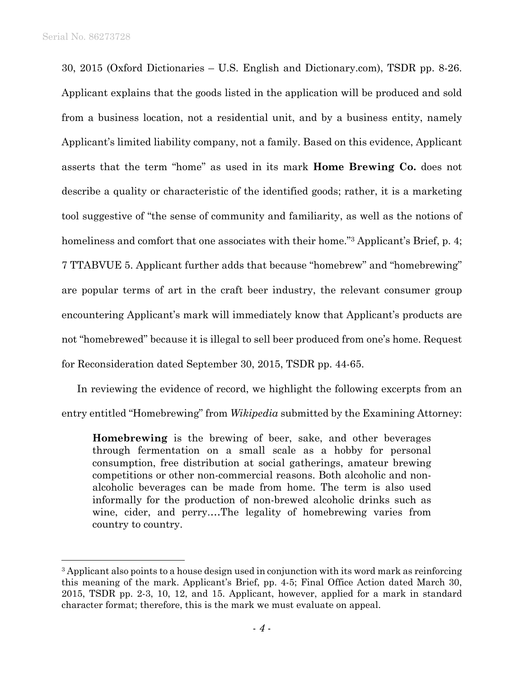$\overline{a}$ 

30, 2015 (Oxford Dictionaries – U.S. English and Dictionary.com), TSDR pp. 8-26. Applicant explains that the goods listed in the application will be produced and sold from a business location, not a residential unit, and by a business entity, namely Applicant's limited liability company, not a family. Based on this evidence, Applicant asserts that the term "home" as used in its mark **Home Brewing Co.** does not describe a quality or characteristic of the identified goods; rather, it is a marketing tool suggestive of "the sense of community and familiarity, as well as the notions of homeliness and comfort that one associates with their home."<sup>3</sup> Applicant's Brief, p. 4; 7 TTABVUE 5. Applicant further adds that because "homebrew" and "homebrewing" are popular terms of art in the craft beer industry, the relevant consumer group encountering Applicant's mark will immediately know that Applicant's products are not "homebrewed" because it is illegal to sell beer produced from one's home. Request for Reconsideration dated September 30, 2015, TSDR pp. 44-65.

In reviewing the evidence of record, we highlight the following excerpts from an entry entitled "Homebrewing" from *Wikipedia* submitted by the Examining Attorney:

**Homebrewing** is the brewing of beer, sake, and other beverages through fermentation on a small scale as a hobby for personal consumption, free distribution at social gatherings, amateur brewing competitions or other non-commercial reasons. Both alcoholic and nonalcoholic beverages can be made from home. The term is also used informally for the production of non-brewed alcoholic drinks such as wine, cider, and perry.…The legality of homebrewing varies from country to country.

<sup>&</sup>lt;sup>3</sup> Applicant also points to a house design used in conjunction with its word mark as reinforcing this meaning of the mark. Applicant's Brief, pp. 4-5; Final Office Action dated March 30, 2015, TSDR pp. 2-3, 10, 12, and 15. Applicant, however, applied for a mark in standard character format; therefore, this is the mark we must evaluate on appeal.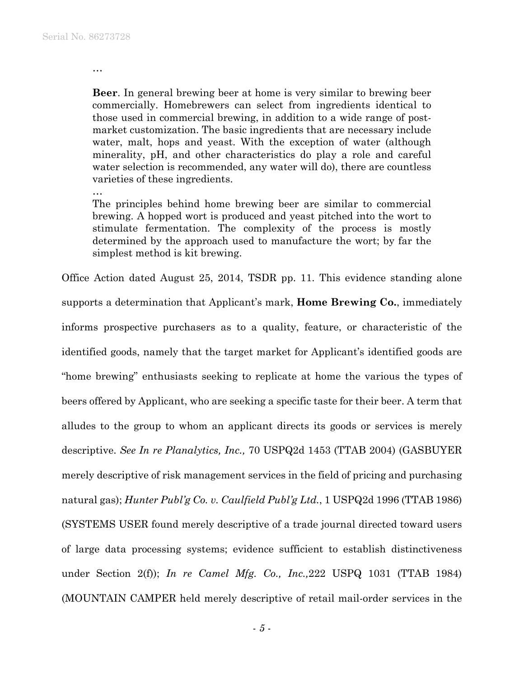…

**Beer**. In general brewing beer at home is very similar to brewing beer commercially. Homebrewers can select from ingredients identical to those used in commercial brewing, in addition to a wide range of postmarket customization. The basic ingredients that are necessary include water, malt, hops and yeast. With the exception of water (although minerality, pH, and other characteristics do play a role and careful water selection is recommended, any water will do), there are countless varieties of these ingredients.

…

The principles behind home brewing beer are similar to commercial brewing. A hopped wort is produced and yeast pitched into the wort to stimulate fermentation. The complexity of the process is mostly determined by the approach used to manufacture the wort; by far the simplest method is kit brewing.

Office Action dated August 25, 2014, TSDR pp. 11. This evidence standing alone supports a determination that Applicant's mark, **Home Brewing Co.**, immediately informs prospective purchasers as to a quality, feature, or characteristic of the identified goods, namely that the target market for Applicant's identified goods are "home brewing" enthusiasts seeking to replicate at home the various the types of beers offered by Applicant, who are seeking a specific taste for their beer. A term that alludes to the group to whom an applicant directs its goods or services is merely descriptive. *See In re Planalytics, Inc.,* 70 USPQ2d 1453 (TTAB 2004) (GASBUYER merely descriptive of risk management services in the field of pricing and purchasing natural gas); *Hunter Publ'g Co. v. Caulfield Publ'g Ltd.*, 1 USPQ2d 1996 (TTAB 1986) (SYSTEMS USER found merely descriptive of a trade journal directed toward users of large data processing systems; evidence sufficient to establish distinctiveness under Section 2(f)); *In re Camel Mfg. Co., Inc.,*222 USPQ 1031 (TTAB 1984) (MOUNTAIN CAMPER held merely descriptive of retail mail-order services in the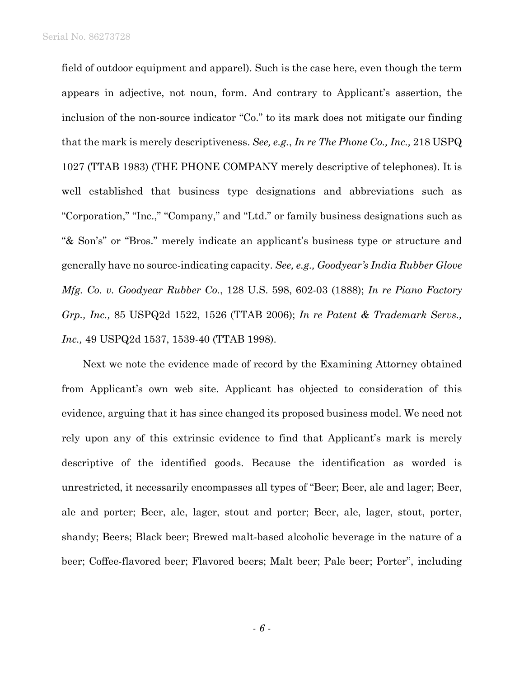field of outdoor equipment and apparel). Such is the case here, even though the term appears in adjective, not noun, form. And contrary to Applicant's assertion, the inclusion of the non-source indicator "Co." to its mark does not mitigate our finding that the mark is merely descriptiveness. *See, e.g.*, *In re The Phone Co., Inc.,* 218 USPQ 1027 (TTAB 1983) (THE PHONE COMPANY merely descriptive of telephones). It is well established that business type designations and abbreviations such as "Corporation," "Inc.," "Company," and "Ltd." or family business designations such as "& Son's" or "Bros." merely indicate an applicant's business type or structure and generally have no source-indicating capacity. *See, e.g., Goodyear's India Rubber Glove Mfg. Co. v. Goodyear Rubber Co.*, 128 U.S. 598, 602-03 (1888); *In re Piano Factory Grp., Inc.,* 85 USPQ2d 1522, 1526 (TTAB 2006); *In re Patent & Trademark Servs., Inc.,* 49 USPQ2d 1537, 1539-40 (TTAB 1998).

Next we note the evidence made of record by the Examining Attorney obtained from Applicant's own web site. Applicant has objected to consideration of this evidence, arguing that it has since changed its proposed business model. We need not rely upon any of this extrinsic evidence to find that Applicant's mark is merely descriptive of the identified goods. Because the identification as worded is unrestricted, it necessarily encompasses all types of "Beer; Beer, ale and lager; Beer, ale and porter; Beer, ale, lager, stout and porter; Beer, ale, lager, stout, porter, shandy; Beers; Black beer; Brewed malt-based alcoholic beverage in the nature of a beer; Coffee-flavored beer; Flavored beers; Malt beer; Pale beer; Porter", including